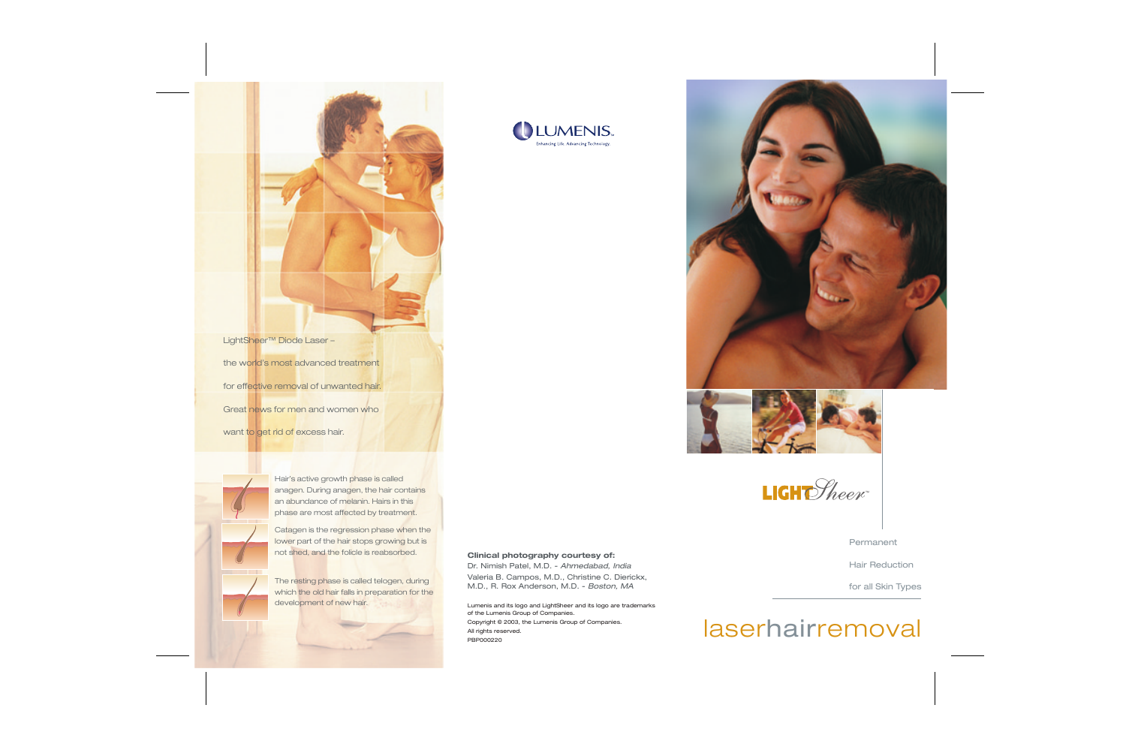LightSheer™ Diode Laser – the world's most advanced treatment for effective removal of unwanted hair. Great news for men and women who want to get rid of excess hair.

> Hair's active growth phase is called anagen. During anagen, the hair contains an abundance of melanin. Hairs in this phase are most affected by treatment.



Catagen is the regression phase when the lower part of the hair stops growing but is not shed, and the folicle is reabsorbed.

The resting phase is called telogen, during which the old hair falls in preparation for the development of new hair.









Permanent

Hair Reduction

for all Skin Types

## laserhairremoval

#### **Clinical photography courtesy of:**

Dr. Nimish Patel, M.D. - *Ahmedabad, India* Valeria B. Campos, M.D., Christine C. Dierickx, M.D., R. Rox Anderson, M.D. - *Boston, MA*

Lumenis and its logo and LightSheer and its logo are trademarks of the Lumenis Group of Companies. Copyright © 2003, the Lumenis Group of Companies.

All rights reserved. PBP000220